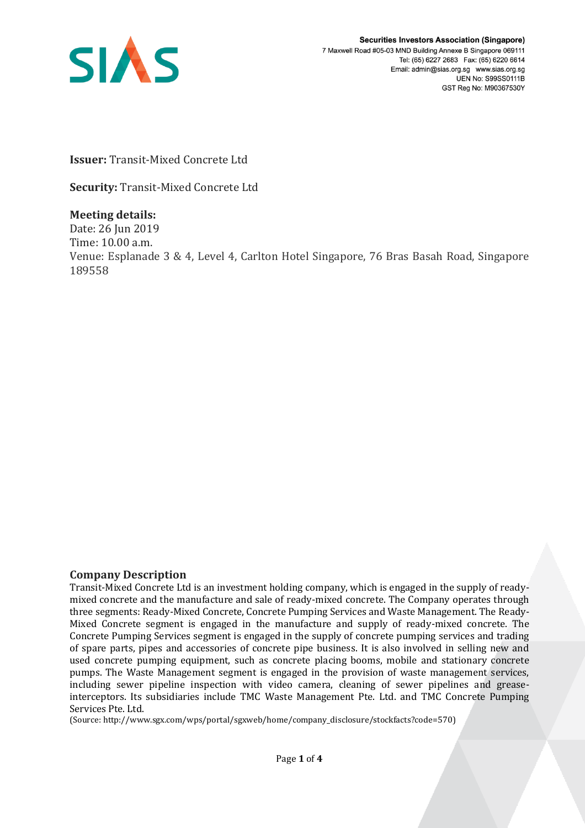

**Issuer:** Transit-Mixed Concrete Ltd

**Security:** Transit-Mixed Concrete Ltd

## **Meeting details:**

Date: 26 Jun 2019 Time: 10.00 a.m. Venue: Esplanade 3 & 4, Level 4, Carlton Hotel Singapore, 76 Bras Basah Road, Singapore 189558

## **Company Description**

Transit-Mixed Concrete Ltd is an investment holding company, which is engaged in the supply of readymixed concrete and the manufacture and sale of ready-mixed concrete. The Company operates through three segments: Ready-Mixed Concrete, Concrete Pumping Services and Waste Management. The Ready-Mixed Concrete segment is engaged in the manufacture and supply of ready-mixed concrete. The Concrete Pumping Services segment is engaged in the supply of concrete pumping services and trading of spare parts, pipes and accessories of concrete pipe business. It is also involved in selling new and used concrete pumping equipment, such as concrete placing booms, mobile and stationary concrete pumps. The Waste Management segment is engaged in the provision of waste management services, including sewer pipeline inspection with video camera, cleaning of sewer pipelines and greaseinterceptors. Its subsidiaries include TMC Waste Management Pte. Ltd. and TMC Concrete Pumping Services Pte. Ltd.

(Source: http://www.sgx.com/wps/portal/sgxweb/home/company\_disclosure/stockfacts?code=570)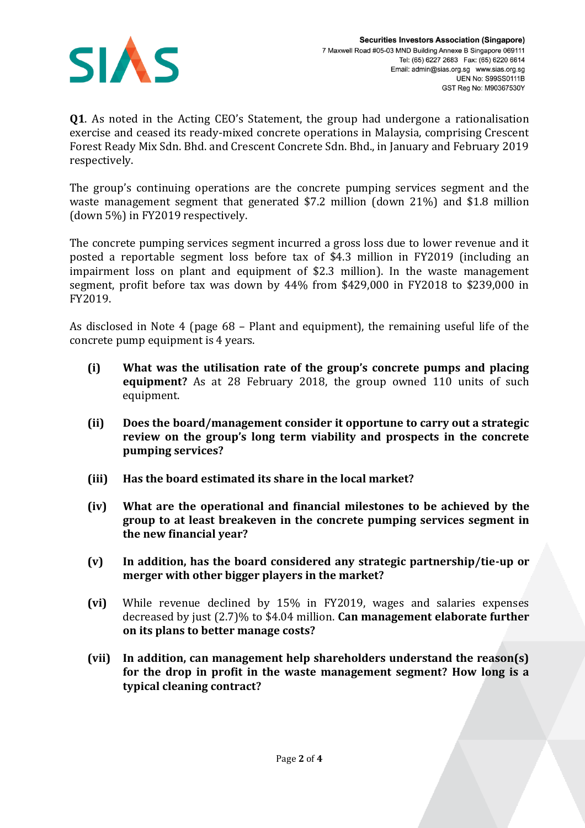

**Q1**. As noted in the Acting CEO's Statement, the group had undergone a rationalisation exercise and ceased its ready-mixed concrete operations in Malaysia, comprising Crescent Forest Ready Mix Sdn. Bhd. and Crescent Concrete Sdn. Bhd., in January and February 2019 respectively.

The group's continuing operations are the concrete pumping services segment and the waste management segment that generated \$7.2 million (down 21%) and \$1.8 million (down 5%) in FY2019 respectively.

The concrete pumping services segment incurred a gross loss due to lower revenue and it posted a reportable segment loss before tax of \$4.3 million in FY2019 (including an impairment loss on plant and equipment of \$2.3 million). In the waste management segment, profit before tax was down by 44% from \$429,000 in FY2018 to \$239,000 in FY2019.

As disclosed in Note 4 (page 68 – Plant and equipment), the remaining useful life of the concrete pump equipment is 4 years.

- **(i) What was the utilisation rate of the group's concrete pumps and placing equipment?** As at 28 February 2018, the group owned 110 units of such equipment.
- **(ii) Does the board/management consider it opportune to carry out a strategic review on the group's long term viability and prospects in the concrete pumping services?**
- **(iii) Has the board estimated its share in the local market?**
- **(iv) What are the operational and financial milestones to be achieved by the group to at least breakeven in the concrete pumping services segment in the new financial year?**
- **(v) In addition, has the board considered any strategic partnership/tie-up or merger with other bigger players in the market?**
- **(vi)** While revenue declined by 15% in FY2019, wages and salaries expenses decreased by just (2.7)% to \$4.04 million. **Can management elaborate further on its plans to better manage costs?**
- **(vii) In addition, can management help shareholders understand the reason(s) for the drop in profit in the waste management segment? How long is a typical cleaning contract?**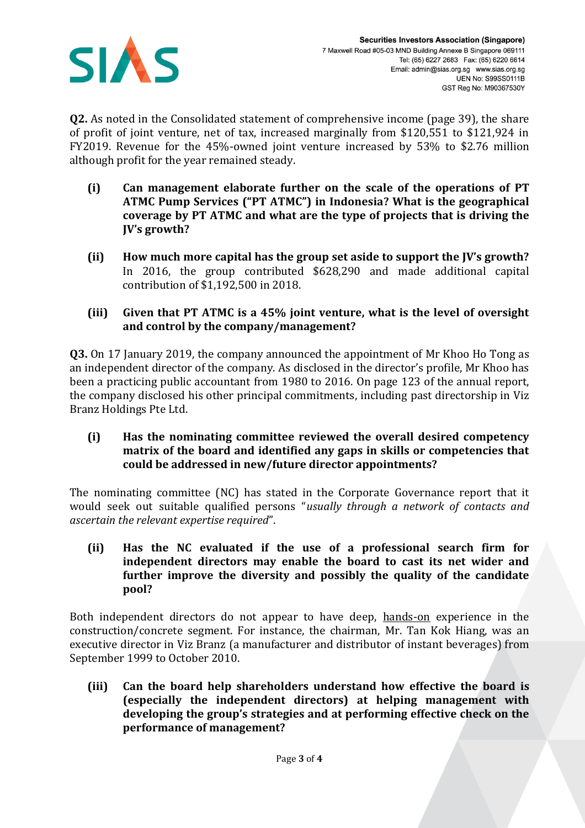

**Q2.** As noted in the Consolidated statement of comprehensive income (page 39), the share of profit of joint venture, net of tax, increased marginally from \$120,551 to \$121,924 in FY2019. Revenue for the 45%-owned joint venture increased by 53% to \$2.76 million although profit for the year remained steady.

- **(i) Can management elaborate further on the scale of the operations of PT ATMC Pump Services ("PT ATMC") in Indonesia? What is the geographical coverage by PT ATMC and what are the type of projects that is driving the JV's growth?**
- **(ii) How much more capital has the group set aside to support the JV's growth?**  In 2016, the group contributed \$628,290 and made additional capital contribution of \$1,192,500 in 2018.
- **(iii) Given that PT ATMC is a 45% joint venture, what is the level of oversight and control by the company/management?**

**Q3.** On 17 January 2019, the company announced the appointment of Mr Khoo Ho Tong as an independent director of the company. As disclosed in the director's profile, Mr Khoo has been a practicing public accountant from 1980 to 2016. On page 123 of the annual report, the company disclosed his other principal commitments, including past directorship in Viz Branz Holdings Pte Ltd.

**(i) Has the nominating committee reviewed the overall desired competency matrix of the board and identified any gaps in skills or competencies that could be addressed in new/future director appointments?**

The nominating committee (NC) has stated in the Corporate Governance report that it would seek out suitable qualified persons "*usually through a network of contacts and ascertain the relevant expertise required*".

**(ii) Has the NC evaluated if the use of a professional search firm for independent directors may enable the board to cast its net wider and further improve the diversity and possibly the quality of the candidate pool?**

Both independent directors do not appear to have deep, hands-on experience in the construction/concrete segment. For instance, the chairman, Mr. Tan Kok Hiang, was an executive director in Viz Branz (a manufacturer and distributor of instant beverages) from September 1999 to October 2010.

**(iii) Can the board help shareholders understand how effective the board is (especially the independent directors) at helping management with developing the group's strategies and at performing effective check on the performance of management?**